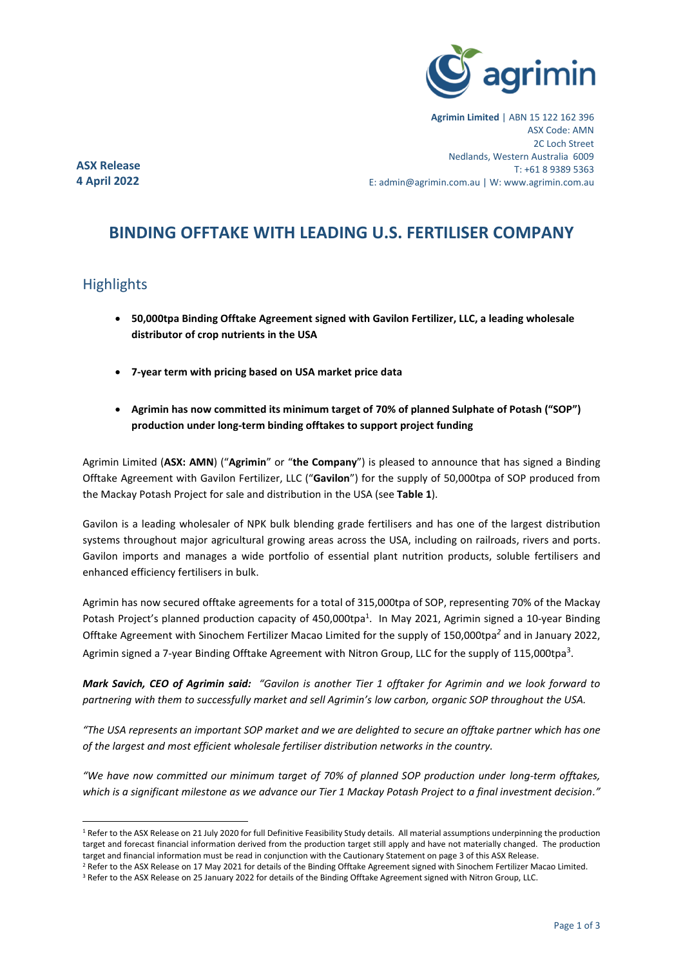

**Agrimin Limited** | ABN 15 122 162 396 ASX Code: AMN 2C Loch Street Nedlands, Western Australia 6009 T: +61 8 9389 5363 E: admin@agrimin.com.au | W: www.agrimin.com.au

**ASX Release 4 April 2022**

# **BINDING OFFTAKE WITH LEADING U.S. FERTILISER COMPANY**

## **Highlights**

- **50,000tpa Binding Offtake Agreement signed with Gavilon Fertilizer, LLC, a leading wholesale distributor of crop nutrients in the USA**
- **7-year term with pricing based on USA market price data**
- **Agrimin has now committed its minimum target of 70% of planned Sulphate of Potash ("SOP") production under long-term binding offtakes to support project funding**

Agrimin Limited (**ASX: AMN**) ("**Agrimin**" or "**the Company**") is pleased to announce that has signed a Binding Offtake Agreement with Gavilon Fertilizer, LLC ("**Gavilon**") for the supply of 50,000tpa of SOP produced from the Mackay Potash Project for sale and distribution in the USA (see **Table 1**).

Gavilon is a leading wholesaler of NPK bulk blending grade fertilisers and has one of the largest distribution systems throughout major agricultural growing areas across the USA, including on railroads, rivers and ports. Gavilon imports and manages a wide portfolio of essential plant nutrition products, soluble fertilisers and enhanced efficiency fertilisers in bulk.

Agrimin has now secured offtake agreements for a total of 315,000tpa of SOP, representing 70% of the Mackay Potash Project's planned production capacity of 450,000tpa<sup>1</sup>. In May 2021, Agrimin signed a 10-year Binding Offtake Agreement with Sinochem Fertilizer Macao Limited for the supply of 150,000tpa*<sup>2</sup>* and in January 2022, Agrimin signed a 7-year Binding Offtake Agreement with Nitron Group, LLC for the supply of 115,000tpa<sup>3</sup>.

*Mark Savich, CEO of Agrimin said: "Gavilon is another Tier 1 offtaker for Agrimin and we look forward to partnering with them to successfully market and sell Agrimin's low carbon, organic SOP throughout the USA.*

*"The USA represents an important SOP market and we are delighted to secure an offtake partner which has one of the largest and most efficient wholesale fertiliser distribution networks in the country.*

*"We have now committed our minimum target of 70% of planned SOP production under long-term offtakes, which is a significant milestone as we advance our Tier 1 Mackay Potash Project to a final investment decision."*

<sup>&</sup>lt;sup>1</sup> Refer to the ASX Release on 21 July 2020 for full Definitive Feasibility Study details. All material assumptions underpinning the production target and forecast financial information derived from the production target still apply and have not materially changed. The production target and financial information must be read in conjunction with the Cautionary Statement on page 3 of this ASX Release.

<sup>&</sup>lt;sup>2</sup> Refer to the ASX Release on 17 May 2021 for details of the Binding Offtake Agreement signed with Sinochem Fertilizer Macao Limited.

<sup>&</sup>lt;sup>3</sup> Refer to the ASX Release on 25 January 2022 for details of the Binding Offtake Agreement signed with Nitron Group, LLC.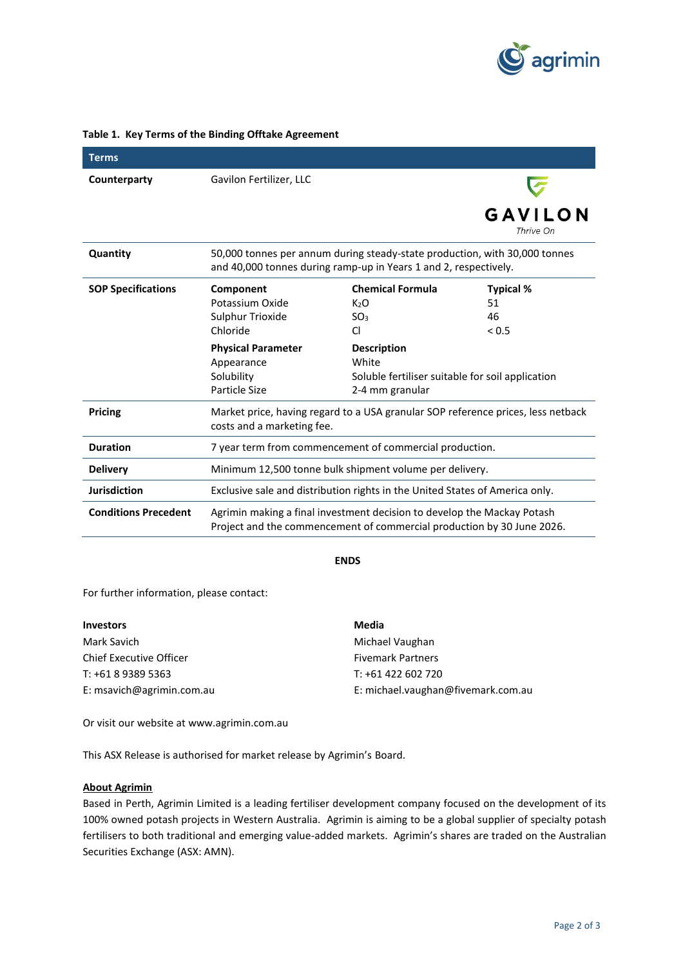

| <b>Terms</b>                |                                                                                                                                                   |                                                  |                      |
|-----------------------------|---------------------------------------------------------------------------------------------------------------------------------------------------|--------------------------------------------------|----------------------|
| Counterparty                | Gavilon Fertilizer, LLC                                                                                                                           |                                                  |                      |
|                             |                                                                                                                                                   |                                                  | GAVILON<br>Thrive On |
| Quantity                    | 50,000 tonnes per annum during steady-state production, with 30,000 tonnes<br>and 40,000 tonnes during ramp-up in Years 1 and 2, respectively.    |                                                  |                      |
| <b>SOP Specifications</b>   | Component                                                                                                                                         | <b>Chemical Formula</b>                          | <b>Typical %</b>     |
|                             | Potassium Oxide                                                                                                                                   | K <sub>2</sub> O                                 | 51                   |
|                             | Sulphur Trioxide                                                                                                                                  | SO <sub>3</sub>                                  | 46                   |
|                             | Chloride                                                                                                                                          | CI                                               | < 0.5                |
|                             | <b>Physical Parameter</b>                                                                                                                         | <b>Description</b>                               |                      |
|                             | Appearance                                                                                                                                        | White                                            |                      |
|                             | Solubility                                                                                                                                        | Soluble fertiliser suitable for soil application |                      |
|                             | Particle Size                                                                                                                                     | 2-4 mm granular                                  |                      |
| <b>Pricing</b>              | Market price, having regard to a USA granular SOP reference prices, less netback<br>costs and a marketing fee.                                    |                                                  |                      |
| <b>Duration</b>             | 7 year term from commencement of commercial production.                                                                                           |                                                  |                      |
| <b>Delivery</b>             | Minimum 12,500 tonne bulk shipment volume per delivery.                                                                                           |                                                  |                      |
| <b>Jurisdiction</b>         | Exclusive sale and distribution rights in the United States of America only.                                                                      |                                                  |                      |
| <b>Conditions Precedent</b> | Agrimin making a final investment decision to develop the Mackay Potash<br>Project and the commencement of commercial production by 30 June 2026. |                                                  |                      |

#### **Table 1. Key Terms of the Binding Offtake Agreement**

**ENDS**

For further information, please contact:

| <b>Investors</b>          | Media                              |
|---------------------------|------------------------------------|
| Mark Savich               | Michael Vaughan                    |
| Chief Executive Officer   | <b>Fivemark Partners</b>           |
| T: +61 8 9389 5363        | $T: +61422602720$                  |
| E: msavich@agrimin.com.au | E: michael.vaughan@fivemark.com.au |

Or visit our website at [www.agrimin.com.au](http://www.grcl.com.au/)

This ASX Release is authorised for market release by Agrimin's Board.

### **About Agrimin**

Based in Perth, Agrimin Limited is a leading fertiliser development company focused on the development of its 100% owned potash projects in Western Australia. Agrimin is aiming to be a global supplier of specialty potash fertilisers to both traditional and emerging value-added markets. Agrimin's shares are traded on the Australian Securities Exchange (ASX: AMN).